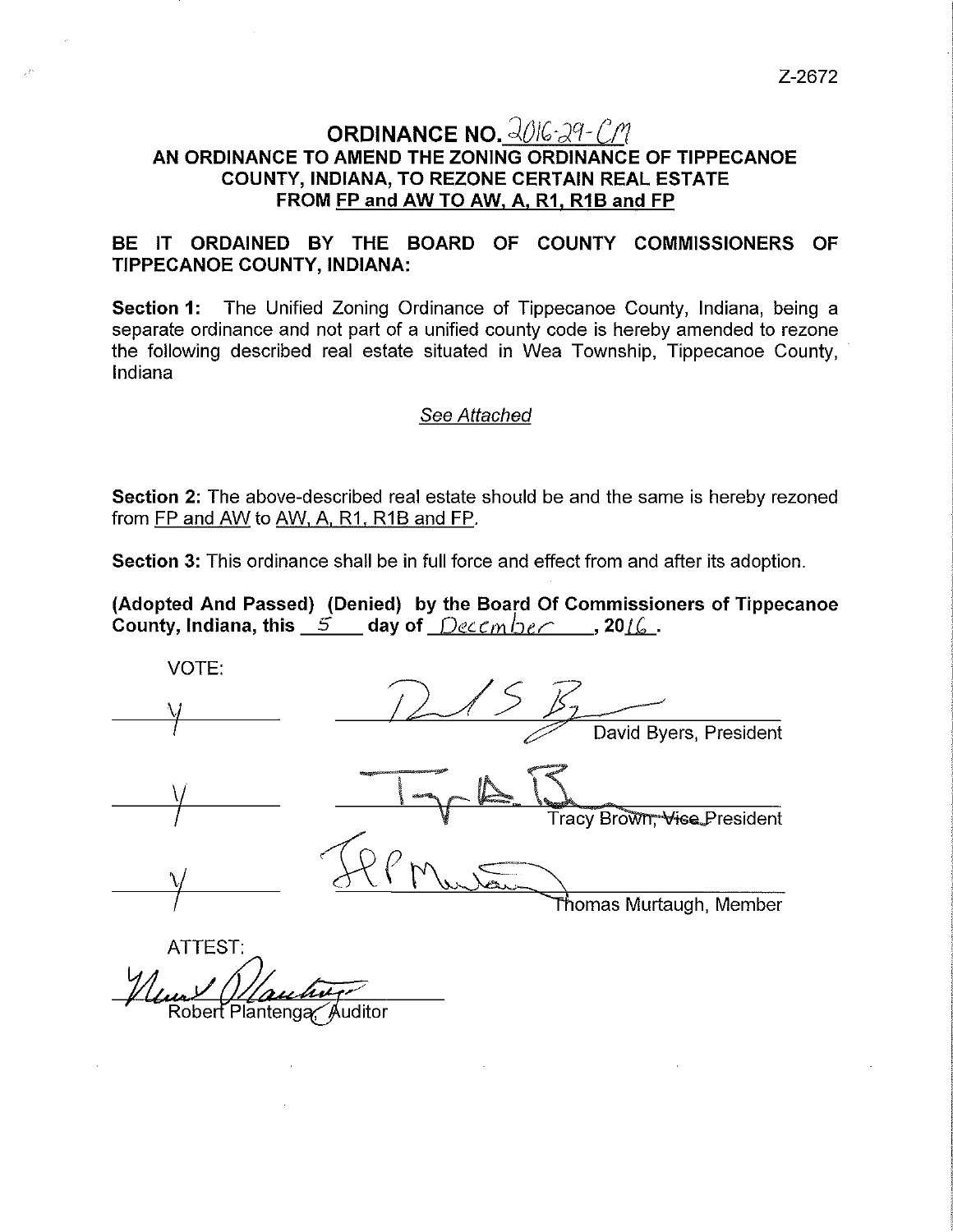Z-2672

## **ORDINANCE NO.**  $\frac{2016}{29}$ -CM **AN ORDINANCE TO AMEND THE ZONING ORDINANCE OF TIPPECANOE COUNTY, INDIANA, TO REZONE CERTAIN REAL ESTATE FROM FP and AW TO AW, A, R1, R1B and FP**

## **BE IT ORDAINED BY THE BOARD OF COUNTY COMMISSIONERS OF TIPPECANOE COUNTY, INDIANA:**

**Section 1:** The Unified Zoning Ordinance of Tippecanoe County, Indiana, being a separate ordinance and not part of a unified county code is hereby amended to rezone the following described real estate situated in Wea Township, Tippecanoe County, Indiana

## See Attached

**Section 2:** The above-described real estate should be and the same is hereby rezoned from FP and AW to AW, A, R1, R1B and FP.

**Section** 3: This ordinance shall be in full force and effect from and after its adoption.

**(Adopted And Passed) (Denied) by the Board Of Commissioners of Tippecanoe County, Indiana, this**  $\overrightarrow{5}$  **<b>day of**  $\overrightarrow{D}$ eccm  $\overrightarrow{D}$  **c**  $\overrightarrow{C}$  **, 20**16.

VOTE:  $\overline{\mathcal{M}}$ David Byers, President \ Tracy Brown, Vice President Thomas Murtaugh, Member

ATTEST: Robert Plantenga Auditor